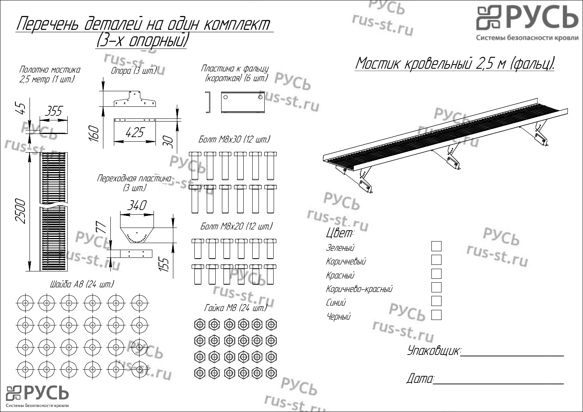**PACP**  $rus-st.ru$ Перечень деталей на один комплект <u>(3-х опорный)</u> Системы безопасности кровли Опора (3 шт.) Мостик кровельный 2,5 м (фальц). Пластина <sup>к</sup> фальцу Полотно мостика Іластини к фильцу<br>(короткая) (6 шт.) 2,5 метр (1 шт.)  $\overline{\bullet}$ us-st.ru  $\overline{\bullet}$  $\sqrt{2}$  $5/$ 2500 45 355 160 425 Болт М8х30 (12 шт.) 30 ru<sub>s</sub>! Переходная пластина (3 шт.)  $Pyc_b$ 2500 340 rus-st.ru Болт М8х20 (12 шт.) 77  $Pyc<sub>b</sub>$ <br> $r_{us-st.ru}$ mananan mana Зеленый 155 Коричневый Красный Шайба А8 (24 шт.) АЧерный Коричнево-красный Синий  $Pyc_b$ Гайка М8 (24 шт.) Черный rus-st.ru<br>Упаковщик:  $\textcircled{\footnotesize{0}} \textcircled{\footnotesize{0}} \textcircled{\footnotesize{0}} \textcircled{\footnotesize{0}} \textcircled{\footnotesize{0}}$  $\textcircled{\footnotesize{0}} \textcircled{\footnotesize{0}} \textcircled{\footnotesize{0}} \textcircled{\footnotesize{0}} \textcircled{\footnotesize{0}}$  $\textcircled{\footnotesize{0}} \textcircled{\footnotesize{0}} \textcircled{\footnotesize{0}} \textcircled{\footnotesize{0}}$ Дата:  $russt_{L1}$ Системы безопасности кровли